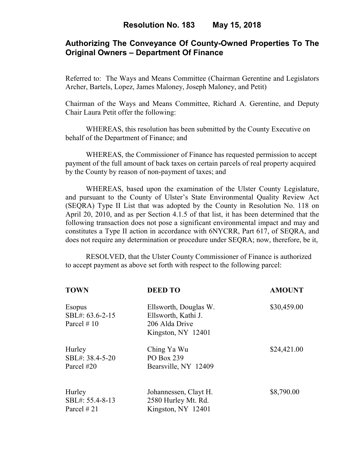## **Authorizing The Conveyance Of County-Owned Properties To The Original Owners – Department Of Finance**

Referred to: The Ways and Means Committee (Chairman Gerentine and Legislators Archer, Bartels, Lopez, James Maloney, Joseph Maloney, and Petit)

Chairman of the Ways and Means Committee, Richard A. Gerentine, and Deputy Chair Laura Petit offer the following:

WHEREAS, this resolution has been submitted by the County Executive on behalf of the Department of Finance; and

 WHEREAS, the Commissioner of Finance has requested permission to accept payment of the full amount of back taxes on certain parcels of real property acquired by the County by reason of non-payment of taxes; and

WHEREAS, based upon the examination of the Ulster County Legislature, and pursuant to the County of Ulster's State Environmental Quality Review Act (SEQRA) Type II List that was adopted by the County in Resolution No. 118 on April 20, 2010, and as per Section 4.1.5 of that list, it has been determined that the following transaction does not pose a significant environmental impact and may and constitutes a Type II action in accordance with 6NYCRR, Part 617, of SEQRA, and does not require any determination or procedure under SEQRA; now, therefore, be it,

 RESOLVED, that the Ulster County Commissioner of Finance is authorized to accept payment as above set forth with respect to the following parcel:

| <b>TOWN</b>     | <b>DEED TO</b>        | <b>AMOUNT</b> |
|-----------------|-----------------------|---------------|
| Esopus          | Ellsworth, Douglas W. | \$30,459.00   |
| SBL#: 63.6-2-15 | Ellsworth, Kathi J.   |               |
| Parcel $#10$    | 206 Alda Drive        |               |
|                 | Kingston, NY 12401    |               |
| Hurley          | Ching Ya Wu           | \$24,421.00   |
| SBL#: 38.4-5-20 | PO Box 239            |               |
| Parcel #20      | Bearsville, NY 12409  |               |
| Hurley          | Johannessen, Clayt H. | \$8,790.00    |
| SBL#: 55.4-8-13 | 2580 Hurley Mt. Rd.   |               |
| Parcel #21      | Kingston, NY 12401    |               |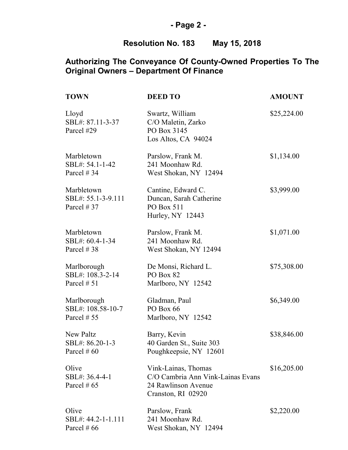# **- Page 2 -**

# **Resolution No. 183 May 15, 2018**

| <b>TOWN</b>                                     | <b>DEED TO</b>                                                                                        | <b>AMOUNT</b> |
|-------------------------------------------------|-------------------------------------------------------------------------------------------------------|---------------|
| Lloyd<br>SBL#: 87.11-3-37<br>Parcel #29         | Swartz, William<br>C/O Maletin, Zarko<br>PO Box 3145<br>Los Altos, CA 94024                           | \$25,224.00   |
| Marbletown<br>SBL#: 54.1-1-42<br>Parcel #34     | Parslow, Frank M.<br>241 Moonhaw Rd.<br>West Shokan, NY 12494                                         | \$1,134.00    |
| Marbletown<br>SBL#: 55.1-3-9.111<br>Parcel #37  | Cantine, Edward C.<br>Duncan, Sarah Catherine<br>PO Box 511<br>Hurley, NY 12443                       | \$3,999.00    |
| Marbletown<br>SBL#: 60.4-1-34<br>Parcel #38     | Parslow, Frank M.<br>241 Moonhaw Rd.<br>West Shokan, NY 12494                                         | \$1,071.00    |
| Marlborough<br>SBL#: 108.3-2-14<br>Parcel # 51  | De Monsi, Richard L.<br>PO Box 82<br>Marlboro, NY 12542                                               | \$75,308.00   |
| Marlborough<br>SBL#: 108.58-10-7<br>Parcel # 55 | Gladman, Paul<br>PO Box 66<br>Marlboro, NY 12542                                                      | \$6,349.00    |
| New Paltz<br>SBL#: 86.20-1-3<br>Parcel $\# 60$  | Barry, Kevin<br>40 Garden St., Suite 303<br>Poughkeepsie, NY 12601                                    | \$38,846.00   |
| Olive<br>SBL#: 36.4-4-1<br>Parcel $\#$ 65       | Vink-Lainas, Thomas<br>C/O Cambria Ann Vink-Lainas Evans<br>24 Rawlinson Avenue<br>Cranston, RI 02920 | \$16,205.00   |
| Olive<br>SBL#: 44.2-1-1.111<br>Parcel # $66$    | Parslow, Frank<br>241 Moonhaw Rd.<br>West Shokan, NY 12494                                            | \$2,220.00    |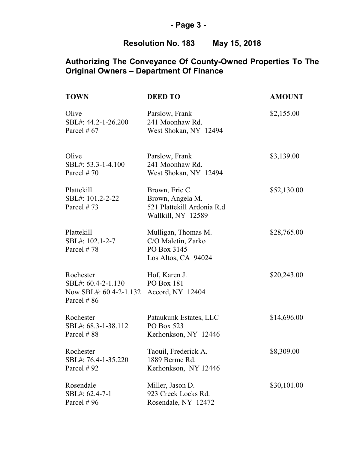# **- Page 3 -**

# **Resolution No. 183 May 15, 2018**

| <b>TOWN</b>                                                              | <b>DEED TO</b>                                                                         | <b>AMOUNT</b> |
|--------------------------------------------------------------------------|----------------------------------------------------------------------------------------|---------------|
| Olive<br>SBL#: 44.2-1-26.200<br>Parcel # $67$                            | Parslow, Frank<br>241 Moonhaw Rd.<br>West Shokan, NY 12494                             | \$2,155.00    |
| Olive<br>SBL#: 53.3-1-4.100<br>Parcel #70                                | Parslow, Frank<br>241 Moonhaw Rd.<br>West Shokan, NY 12494                             | \$3,139.00    |
| Plattekill<br>SBL#: 101.2-2-22<br>Parcel $#73$                           | Brown, Eric C.<br>Brown, Angela M.<br>521 Plattekill Ardonia R.d<br>Wallkill, NY 12589 | \$52,130.00   |
| Plattekill<br>SBL#: 102.1-2-7<br>Parcel #78                              | Mulligan, Thomas M.<br>C/O Maletin, Zarko<br>PO Box 3145<br>Los Altos, CA 94024        | \$28,765.00   |
| Rochester<br>SBL#: 60.4-2-1.130<br>Now SBL#: 60.4-2-1.132<br>Parcel # 86 | Hof, Karen J.<br><b>PO Box 181</b><br>Accord, NY 12404                                 | \$20,243.00   |
| Rochester<br>SBL#: 68.3-1-38.112<br>Parcel # 88                          | Pataukunk Estates, LLC<br>PO Box 523<br>Kerhonkson, NY 12446                           | \$14,696.00   |
| Rochester<br>SBL#: 76.4-1-35.220<br>Parcel #92                           | Taouil, Frederick A.<br>1889 Berme Rd.<br>Kerhonkson, NY 12446                         | \$8,309.00    |
| Rosendale<br>SBL#: 62.4-7-1<br>Parcel #96                                | Miller, Jason D.<br>923 Creek Locks Rd.<br>Rosendale, NY 12472                         | \$30,101.00   |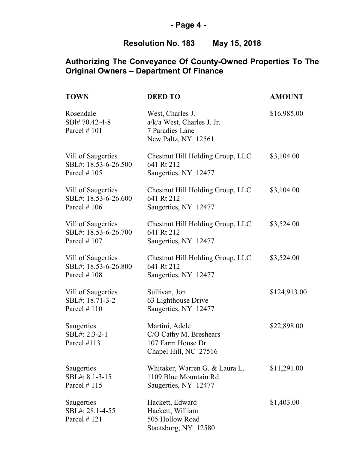# **- Page 4 -**

# **Resolution No. 183 May 15, 2018**

| <b>TOWN</b>                                                  | <b>DEED TO</b>                                                                             | <b>AMOUNT</b> |
|--------------------------------------------------------------|--------------------------------------------------------------------------------------------|---------------|
| Rosendale<br>SBl#70.42-4-8<br>Parcel $# 101$                 | West, Charles J.<br>$a/k/a$ West, Charles J. Jr.<br>7 Paradies Lane<br>New Paltz, NY 12561 | \$16,985.00   |
| Vill of Saugerties<br>SBL#: 18.53-6-26.500<br>Parcel $# 105$ | Chestnut Hill Holding Group, LLC<br>641 Rt 212<br>Saugerties, NY 12477                     | \$3,104.00    |
| Vill of Saugerties<br>SBL#: 18.53-6-26.600<br>Parcel $# 106$ | Chestnut Hill Holding Group, LLC<br>641 Rt 212<br>Saugerties, NY 12477                     | \$3,104.00    |
| Vill of Saugerties<br>SBL#: 18.53-6-26.700<br>Parcel $# 107$ | Chestnut Hill Holding Group, LLC<br>641 Rt 212<br>Saugerties, NY 12477                     | \$3,524.00    |
| Vill of Saugerties<br>SBL#: 18.53-6-26.800<br>Parcel $#108$  | Chestnut Hill Holding Group, LLC<br>641 Rt 212<br>Saugerties, NY 12477                     | \$3,524.00    |
| Vill of Saugerties<br>SBL#: 18.71-3-2<br>Parcel $#110$       | Sullivan, Jon<br>63 Lighthouse Drive<br>Saugerties, NY 12477                               | \$124,913.00  |
| Saugerties<br>SBL#: 2.3-2-1<br>Parcel #113                   | Martini, Adele<br>C/O Cathy M. Breshears<br>107 Farm House Dr.<br>Chapel Hill, NC 27516    | \$22,898.00   |
| Saugerties<br>SBL#: 8.1-3-15<br>Parcel $#115$                | Whitaker, Warren G. & Laura L.<br>1109 Blue Mountain Rd.<br>Saugerties, NY 12477           | \$11,291.00   |
| Saugerties<br>SBL#: 28.1-4-55<br>Parcel #121                 | Hackett, Edward<br>Hackett, William<br>505 Hollow Road<br>Staatsburg, NY 12580             | \$1,403.00    |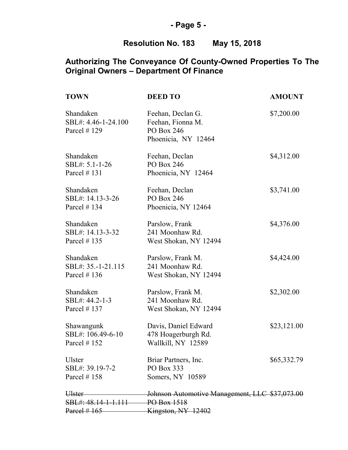# **- Page 5 -**

# **Resolution No. 183 May 15, 2018**

| <b>TOWN</b>                                                          | <b>DEED TO</b>                                                              | <b>AMOUNT</b> |
|----------------------------------------------------------------------|-----------------------------------------------------------------------------|---------------|
| Shandaken<br>SBL#: 4.46-1-24.100<br>Parcel # 129                     | Feehan, Declan G.<br>Feehan, Fionna M.<br>PO Box 246<br>Phoenicia, NY 12464 | \$7,200.00    |
| Shandaken<br>SBL#: 5.1-1-26<br>Parcel $# 131$                        | Feehan, Declan<br>PO Box 246<br>Phoenicia, NY 12464                         | \$4,312.00    |
| Shandaken<br>SBL#: 14.13-3-26<br>Parcel # 134                        | Feehan, Declan<br>PO Box 246<br>Phoenicia, NY 12464                         | \$3,741.00    |
| Shandaken<br>SBL#: 14.13-3-32<br>Parcel $#135$                       | Parslow, Frank<br>241 Moonhaw Rd.<br>West Shokan, NY 12494                  | \$4,376.00    |
| Shandaken<br>SBL#: 35.-1-21.115<br>Parcel $#136$                     | Parslow, Frank M.<br>241 Moonhaw Rd.<br>West Shokan, NY 12494               | \$4,424.00    |
| Shandaken<br>SBL#: 44.2-1-3<br>Parcel # 137                          | Parslow, Frank M.<br>241 Moonhaw Rd.<br>West Shokan, NY 12494               | \$2,302.00    |
| Shawangunk<br>SBL#: 106.49-6-10<br>Parcel $#152$                     | Davis, Daniel Edward<br>478 Hoagerburgh Rd.<br>Wallkill, NY 12589           | \$23,121.00   |
| Ulster<br>SBL#: 39.19-7-2<br>Parcel $#158$                           | Briar Partners, Inc.<br>PO Box 333<br>Somers, NY 10589                      | \$65,332.79   |
| <del>Ulster</del><br>SBL#: 48.14-1-1.111 PO Box 1518<br>Parcel # 165 | Johnson Automotive Management, LLC \$37,073.00<br>Kingston, NY 12402        |               |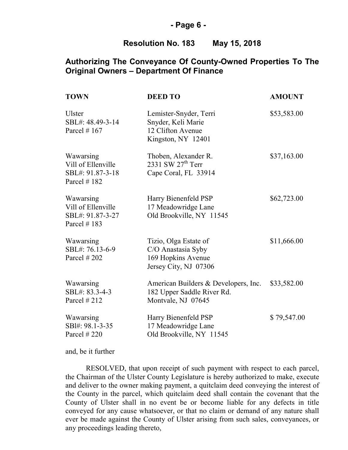#### **- Page 6 -**

#### **Resolution No. 183 May 15, 2018**

### **Authorizing The Conveyance Of County-Owned Properties To The Original Owners – Department Of Finance**

| <b>TOWN</b>                                                          | <b>DEED TO</b>                                                                             | <b>AMOUNT</b> |
|----------------------------------------------------------------------|--------------------------------------------------------------------------------------------|---------------|
| Ulster<br>SBL#: 48.49-3-14<br>Parcel $# 167$                         | Lemister-Snyder, Terri<br>Snyder, Keli Marie<br>12 Clifton Avenue<br>Kingston, NY 12401    | \$53,583.00   |
| Wawarsing<br>Vill of Ellenville<br>SBL#: 91.87-3-18<br>Parcel #182   | Thoben, Alexander R.<br>2331 SW $27th$ Terr<br>Cape Coral, FL 33914                        | \$37,163.00   |
| Wawarsing<br>Vill of Ellenville<br>SBL#: 91.87-3-27<br>Parcel $#183$ | Harry Bienenfeld PSP<br>17 Meadowridge Lane<br>Old Brookville, NY 11545                    | \$62,723.00   |
| Wawarsing<br>SBL#: 76.13-6-9<br>Parcel $#202$                        | Tizio, Olga Estate of<br>C/O Anastasia Syby<br>169 Hopkins Avenue<br>Jersey City, NJ 07306 | \$11,666.00   |
| Wawarsing<br>SBL#: 83.3-4-3<br>Parcel $#212$                         | American Builders & Developers, Inc.<br>182 Upper Saddle River Rd.<br>Montvale, NJ 07645   | \$33,582.00   |
| Wawarsing<br>SBl#: 98.1-3-35<br>Parcel $#220$                        | Harry Bienenfeld PSP<br>17 Meadowridge Lane<br>Old Brookville, NY 11545                    | \$79,547.00   |

and, be it further

RESOLVED, that upon receipt of such payment with respect to each parcel, the Chairman of the Ulster County Legislature is hereby authorized to make, execute and deliver to the owner making payment, a quitclaim deed conveying the interest of the County in the parcel, which quitclaim deed shall contain the covenant that the County of Ulster shall in no event be or become liable for any defects in title conveyed for any cause whatsoever, or that no claim or demand of any nature shall ever be made against the County of Ulster arising from such sales, conveyances, or any proceedings leading thereto,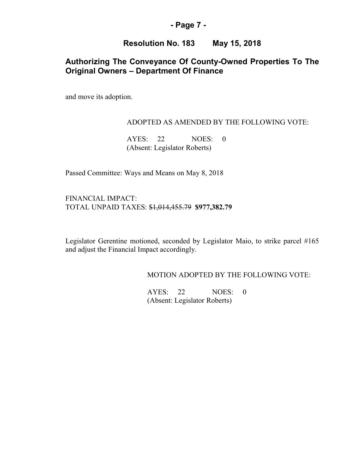#### **- Page 7 -**

#### **Resolution No. 183 May 15, 2018**

## **Authorizing The Conveyance Of County-Owned Properties To The Original Owners – Department Of Finance**

and move its adoption.

#### ADOPTED AS AMENDED BY THE FOLLOWING VOTE:

AYES: 22 NOES: 0 (Absent: Legislator Roberts)

Passed Committee: Ways and Means on May 8, 2018

FINANCIAL IMPACT: TOTAL UNPAID TAXES: \$1,014,455.79 **\$977,382.79** 

Legislator Gerentine motioned, seconded by Legislator Maio, to strike parcel #165 and adjust the Financial Impact accordingly.

MOTION ADOPTED BY THE FOLLOWING VOTE:

AYES: 22 NOES: 0 (Absent: Legislator Roberts)